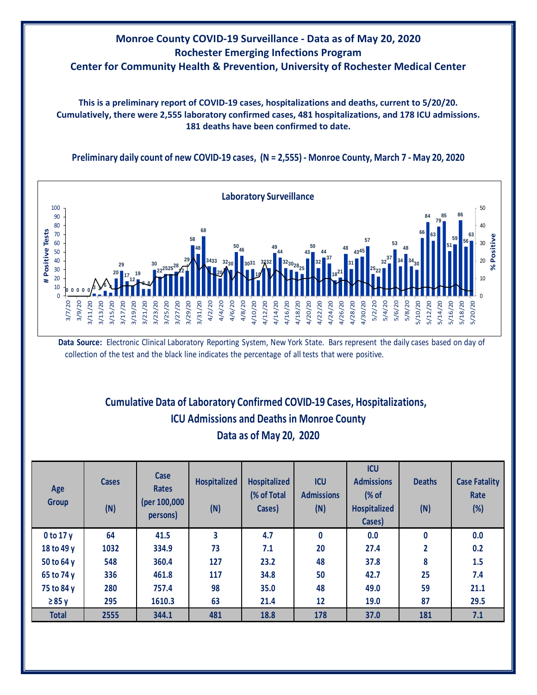

**This is a preliminary report of COVID-19 cases, hospitalizations and deaths, current to 5/20/20. Cumulatively, there were 2,555 laboratory confirmed cases, 481 hospitalizations, and 178 ICU admissions. 181 deaths have been confirmed to date.**

**Preliminary daily count of new COVID-19 cases, (N = 2,555) - Monroe County, March 7 - May 20, 2020**



**Data Source:** Electronic Clinical Laboratory Reporting System, New York State. Bars represent the daily cases based on day of collection of the test and the black line indicates the percentage of all tests that were positive.

## **Cumulative Data of Laboratory Confirmed COVID-19 Cases, Hospitalizations, Data as of May 20, 2020 ICU Admissions and Deaths in Monroe County**

| Age<br><b>Group</b> | <b>Cases</b><br>(N) | Case<br><b>Rates</b><br>(per 100,000<br>persons) | <b>Hospitalized</b><br>(N) | <b>Hospitalized</b><br>(% of Total<br>Cases) | <b>ICU</b><br><b>Admissions</b><br>(N) | <b>ICU</b><br><b>Admissions</b><br>(% of<br>Hospitalized<br>Cases) | <b>Deaths</b><br>(N) | <b>Case Fatality</b><br>Rate<br>(%) |
|---------------------|---------------------|--------------------------------------------------|----------------------------|----------------------------------------------|----------------------------------------|--------------------------------------------------------------------|----------------------|-------------------------------------|
| $0$ to 17 $y$       | 64                  | 41.5                                             | 3                          | 4.7                                          | 0                                      | 0.0                                                                | $\mathbf 0$          | 0.0                                 |
| 18 to 49 y          | 1032                | 334.9                                            | 73                         | 7.1                                          | 20                                     | 27.4                                                               | $\overline{2}$       | 0.2                                 |
| 50 to 64 y          | 548                 | 360.4                                            | 127                        | 23.2                                         | 48                                     | 37.8                                                               | 8                    | 1.5                                 |
| 65 to 74 y          | 336                 | 461.8                                            | 117                        | 34.8                                         | 50                                     | 42.7                                                               | 25                   | 7.4                                 |
| 75 to 84 y          | 280                 | 757.4                                            | 98                         | 35.0                                         | 48                                     | 49.0                                                               | 59                   | 21.1                                |
| $\geq 85$ y         | 295                 | 1610.3                                           | 63                         | 21.4                                         | 12                                     | 19.0                                                               | 87                   | 29.5                                |
| <b>Total</b>        | 2555                | 344.1                                            | 481                        | 18.8                                         | 178                                    | 37.0                                                               | 181                  | 7.1                                 |